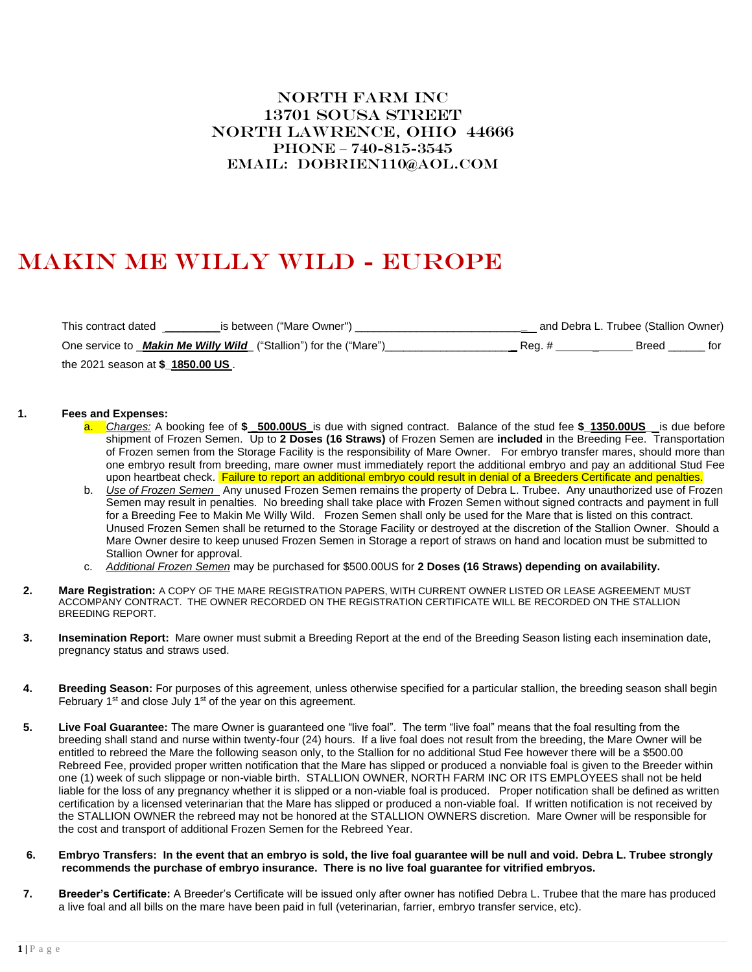## North Farm Inc 13701 SOUSA STREET North Lawrence, Ohio 44666 Phone – 740-815-3545 Email: dobrien110@aol.com

## Makin Me willy Wild - Europe

| This contract dated<br>is between ("Mare Owner")                   |        | and Debra L. Trubee (Stallion Owner) |     |
|--------------------------------------------------------------------|--------|--------------------------------------|-----|
| One service to _Makin Me Willy Wild_ ("Stallion") for the ("Mare") | Rea. # | Breed                                | for |
| the 2021 season at \$_1850.00 US.                                  |        |                                      |     |

## **1. Fees and Expenses:**

- a. *Charges:* A booking fee of **\$ \_500.00US\_**is due with signed contract. Balance of the stud fee **\$\_1350.00US\_** is due before shipment of Frozen Semen. Up to **2 Doses (16 Straws)** of Frozen Semen are **included** in the Breeding Fee. Transportation of Frozen semen from the Storage Facility is the responsibility of Mare Owner. For embryo transfer mares, should more than one embryo result from breeding, mare owner must immediately report the additional embryo and pay an additional Stud Fee upon heartbeat check. Failure to report an additional embryo could result in denial of a Breeders Certificate and penalties.
- b. *Use of Frozen Semen* Any unused Frozen Semen remains the property of Debra L. Trubee. Any unauthorized use of Frozen Semen may result in penalties. No breeding shall take place with Frozen Semen without signed contracts and payment in full for a Breeding Fee to Makin Me Willy Wild. Frozen Semen shall only be used for the Mare that is listed on this contract. Unused Frozen Semen shall be returned to the Storage Facility or destroyed at the discretion of the Stallion Owner. Should a Mare Owner desire to keep unused Frozen Semen in Storage a report of straws on hand and location must be submitted to Stallion Owner for approval.
- c. *Additional Frozen Semen* may be purchased for \$500.00US for **2 Doses (16 Straws) depending on availability.**
- **2. Mare Registration:** A COPY OF THE MARE REGISTRATION PAPERS, WITH CURRENT OWNER LISTED OR LEASE AGREEMENT MUST ACCOMPANY CONTRACT. THE OWNER RECORDED ON THE REGISTRATION CERTIFICATE WILL BE RECORDED ON THE STALLION BREEDING REPORT.
- **3. Insemination Report:** Mare owner must submit a Breeding Report at the end of the Breeding Season listing each insemination date, pregnancy status and straws used.
- **4. Breeding Season:** For purposes of this agreement, unless otherwise specified for a particular stallion, the breeding season shall begin February 1<sup>st</sup> and close July 1<sup>st</sup> of the year on this agreement.
- **5. Live Foal Guarantee:** The mare Owner is guaranteed one "live foal". The term "live foal" means that the foal resulting from the breeding shall stand and nurse within twenty-four (24) hours. If a live foal does not result from the breeding, the Mare Owner will be entitled to rebreed the Mare the following season only, to the Stallion for no additional Stud Fee however there will be a \$500.00 Rebreed Fee, provided proper written notification that the Mare has slipped or produced a nonviable foal is given to the Breeder within one (1) week of such slippage or non-viable birth. STALLION OWNER, NORTH FARM INC OR ITS EMPLOYEES shall not be held liable for the loss of any pregnancy whether it is slipped or a non-viable foal is produced. Proper notification shall be defined as written certification by a licensed veterinarian that the Mare has slipped or produced a non-viable foal. If written notification is not received by the STALLION OWNER the rebreed may not be honored at the STALLION OWNERS discretion. Mare Owner will be responsible for the cost and transport of additional Frozen Semen for the Rebreed Year.
- **6. Embryo Transfers: In the event that an embryo is sold, the live foal guarantee will be null and void. Debra L. Trubee strongly recommends the purchase of embryo insurance. There is no live foal guarantee for vitrified embryos.**
- **7. Breeder's Certificate:** A Breeder's Certificate will be issued only after owner has notified Debra L. Trubee that the mare has produced a live foal and all bills on the mare have been paid in full (veterinarian, farrier, embryo transfer service, etc).